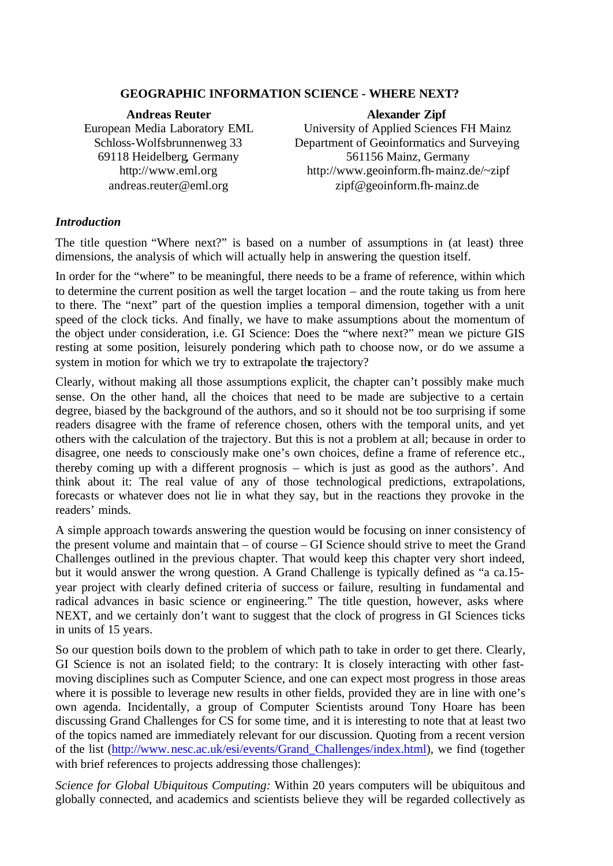### **GEOGRAPHIC INFORMATION SCIENCE - WHERE NEXT?**

**Andreas Reuter** European Media Laboratory EML Schloss-Wolfsbrunnenweg 33 69118 Heidelberg, Germany http://www.eml.org andreas.reuter@eml.org

#### **Alexander Zipf**

University of Applied Sciences FH Mainz Department of Geoinformatics and Surveying 561156 Mainz, Germany http://www.geoinform.fh-mainz.de/~zipf zipf@geoinform.fh-mainz.de

#### *Introduction*

The title question "Where next?" is based on a number of assumptions in (at least) three dimensions, the analysis of which will actually help in answering the question itself.

In order for the "where" to be meaningful, there needs to be a frame of reference, within which to determine the current position as well the target location – and the route taking us from here to there. The "next" part of the question implies a temporal dimension, together with a unit speed of the clock ticks. And finally, we have to make assumptions about the momentum of the object under consideration, i.e. GI Science: Does the "where next?" mean we picture GIS resting at some position, leisurely pondering which path to choose now, or do we assume a system in motion for which we try to extrapolate the trajectory?

Clearly, without making all those assumptions explicit, the chapter can't possibly make much sense. On the other hand, all the choices that need to be made are subjective to a certain degree, biased by the background of the authors, and so it should not be too surprising if some readers disagree with the frame of reference chosen, others with the temporal units, and yet others with the calculation of the trajectory. But this is not a problem at all; because in order to disagree, one needs to consciously make one's own choices, define a frame of reference etc., thereby coming up with a different prognosis – which is just as good as the authors'. And think about it: The real value of any of those technological predictions, extrapolations, forecasts or whatever does not lie in what they say, but in the reactions they provoke in the readers' minds.

A simple approach towards answering the question would be focusing on inner consistency of the present volume and maintain that – of course – GI Science should strive to meet the Grand Challenges outlined in the previous chapter. That would keep this chapter very short indeed, but it would answer the wrong question. A Grand Challenge is typically defined as "a ca.15 year project with clearly defined criteria of success or failure, resulting in fundamental and radical advances in basic science or engineering." The title question, however, asks where NEXT, and we certainly don't want to suggest that the clock of progress in GI Sciences ticks in units of 15 years.

So our question boils down to the problem of which path to take in order to get there. Clearly, GI Science is not an isolated field; to the contrary: It is closely interacting with other fastmoving disciplines such as Computer Science, and one can expect most progress in those areas where it is possible to leverage new results in other fields, provided they are in line with one's own agenda. Incidentally, a group of Computer Scientists around Tony Hoare has been discussing Grand Challenges for CS for some time, and it is interesting to note that at least two of the topics named are immediately relevant for our discussion. Quoting from a recent version of the list (http://www.nesc.ac.uk/esi/events/Grand\_Challenges/index.html), we find (together with brief references to projects addressing those challenges):

*Science for Global Ubiquitous Computing:* Within 20 years computers will be ubiquitous and globally connected, and academics and scientists believe they will be regarded collectively as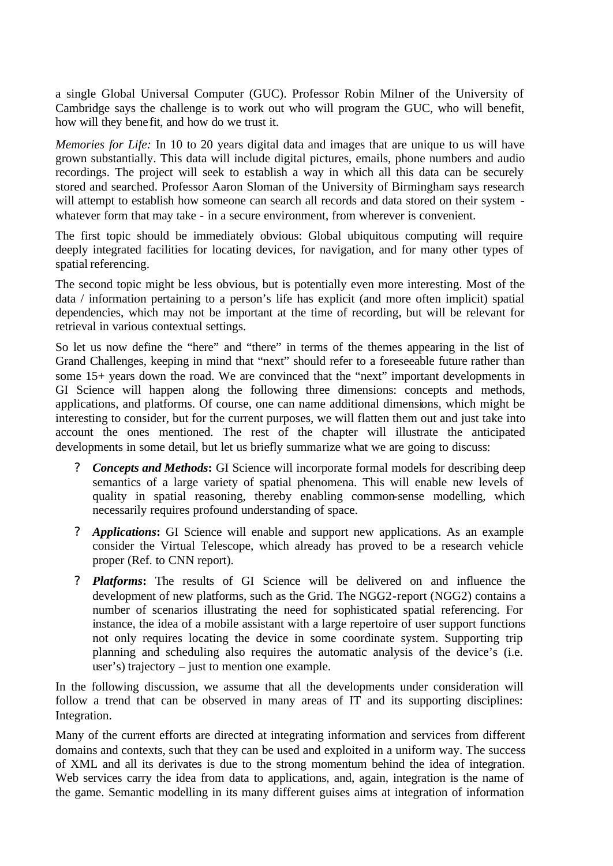a single Global Universal Computer (GUC). Professor Robin Milner of the University of Cambridge says the challenge is to work out who will program the GUC, who will benefit, how will they bene fit, and how do we trust it.

*Memories for Life:* In 10 to 20 years digital data and images that are unique to us will have grown substantially. This data will include digital pictures, emails, phone numbers and audio recordings. The project will seek to establish a way in which all this data can be securely stored and searched. Professor Aaron Sloman of the University of Birmingham says research will attempt to establish how someone can search all records and data stored on their system whatever form that may take - in a secure environment, from wherever is convenient.

The first topic should be immediately obvious: Global ubiquitous computing will require deeply integrated facilities for locating devices, for navigation, and for many other types of spatial referencing.

The second topic might be less obvious, but is potentially even more interesting. Most of the data / information pertaining to a person's life has explicit (and more often implicit) spatial dependencies, which may not be important at the time of recording, but will be relevant for retrieval in various contextual settings.

So let us now define the "here" and "there" in terms of the themes appearing in the list of Grand Challenges, keeping in mind that "next" should refer to a foreseeable future rather than some 15+ years down the road. We are convinced that the "next" important developments in GI Science will happen along the following three dimensions: concepts and methods, applications, and platforms. Of course, one can name additional dimensions, which might be interesting to consider, but for the current purposes, we will flatten them out and just take into account the ones mentioned. The rest of the chapter will illustrate the anticipated developments in some detail, but let us briefly summarize what we are going to discuss:

- ? *Concepts and Methods***:** GI Science will incorporate formal models for describing deep semantics of a large variety of spatial phenomena. This will enable new levels of quality in spatial reasoning, thereby enabling common-sense modelling, which necessarily requires profound understanding of space.
- ? *Applications***:** GI Science will enable and support new applications. As an example consider the Virtual Telescope, which already has proved to be a research vehicle proper (Ref. to CNN report).
- ? *Platforms***:** The results of GI Science will be delivered on and influence the development of new platforms, such as the Grid. The NGG2-report (NGG2) contains a number of scenarios illustrating the need for sophisticated spatial referencing. For instance, the idea of a mobile assistant with a large repertoire of user support functions not only requires locating the device in some coordinate system. Supporting trip planning and scheduling also requires the automatic analysis of the device's (i.e. user's) trajectory – just to mention one example.

In the following discussion, we assume that all the developments under consideration will follow a trend that can be observed in many areas of IT and its supporting disciplines: Integration.

Many of the current efforts are directed at integrating information and services from different domains and contexts, such that they can be used and exploited in a uniform way. The success of XML and all its derivates is due to the strong momentum behind the idea of integration. Web services carry the idea from data to applications, and, again, integration is the name of the game. Semantic modelling in its many different guises aims at integration of information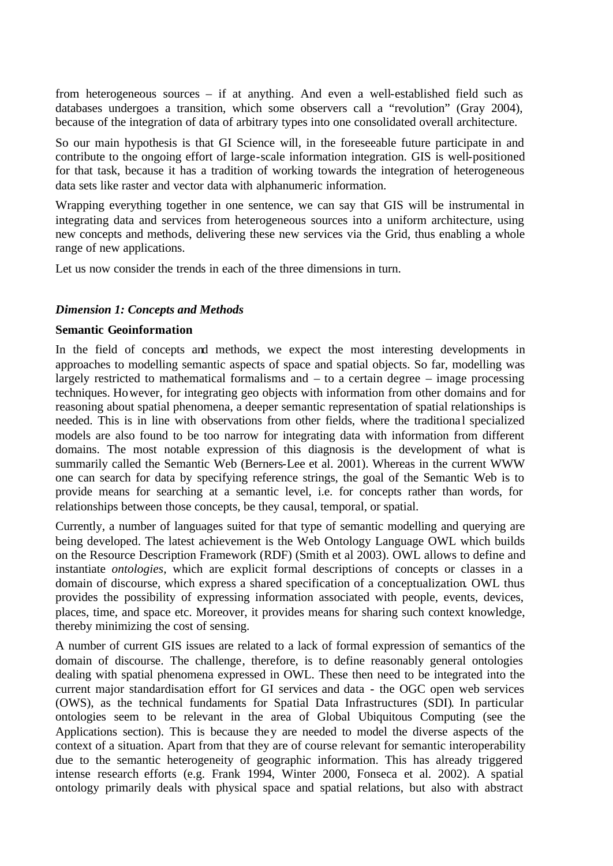from heterogeneous sources – if at anything. And even a well-established field such as databases undergoes a transition, which some observers call a "revolution" (Gray 2004), because of the integration of data of arbitrary types into one consolidated overall architecture.

So our main hypothesis is that GI Science will, in the foreseeable future participate in and contribute to the ongoing effort of large-scale information integration. GIS is well-positioned for that task, because it has a tradition of working towards the integration of heterogeneous data sets like raster and vector data with alphanumeric information.

Wrapping everything together in one sentence, we can say that GIS will be instrumental in integrating data and services from heterogeneous sources into a uniform architecture, using new concepts and methods, delivering these new services via the Grid, thus enabling a whole range of new applications.

Let us now consider the trends in each of the three dimensions in turn.

### *Dimension 1: Concepts and Methods*

#### **Semantic Geoinformation**

In the field of concepts and methods, we expect the most interesting developments in approaches to modelling semantic aspects of space and spatial objects. So far, modelling was largely restricted to mathematical formalisms and  $-$  to a certain degree  $-$  image processing techniques. However, for integrating geo objects with information from other domains and for reasoning about spatial phenomena, a deeper semantic representation of spatial relationships is needed. This is in line with observations from other fields, where the traditional specialized models are also found to be too narrow for integrating data with information from different domains. The most notable expression of this diagnosis is the development of what is summarily called the Semantic Web (Berners-Lee et al. 2001). Whereas in the current WWW one can search for data by specifying reference strings, the goal of the Semantic Web is to provide means for searching at a semantic level, i.e. for concepts rather than words, for relationships between those concepts, be they causal, temporal, or spatial.

Currently, a number of languages suited for that type of semantic modelling and querying are being developed. The latest achievement is the Web Ontology Language OWL which builds on the Resource Description Framework (RDF) (Smith et al 2003). OWL allows to define and instantiate *ontologies*, which are explicit formal descriptions of concepts or classes in a domain of discourse, which express a shared specification of a conceptualization. OWL thus provides the possibility of expressing information associated with people, events, devices, places, time, and space etc. Moreover, it provides means for sharing such context knowledge, thereby minimizing the cost of sensing.

A number of current GIS issues are related to a lack of formal expression of semantics of the domain of discourse. The challenge, therefore, is to define reasonably general ontologies dealing with spatial phenomena expressed in OWL. These then need to be integrated into the current major standardisation effort for GI services and data - the OGC open web services (OWS), as the technical fundaments for Spatial Data Infrastructures (SDI). In particular ontologies seem to be relevant in the area of Global Ubiquitous Computing (see the Applications section). This is because they are needed to model the diverse aspects of the context of a situation. Apart from that they are of course relevant for semantic interoperability due to the semantic heterogeneity of geographic information. This has already triggered intense research efforts (e.g. Frank 1994, Winter 2000, Fonseca et al. 2002). A spatial ontology primarily deals with physical space and spatial relations, but also with abstract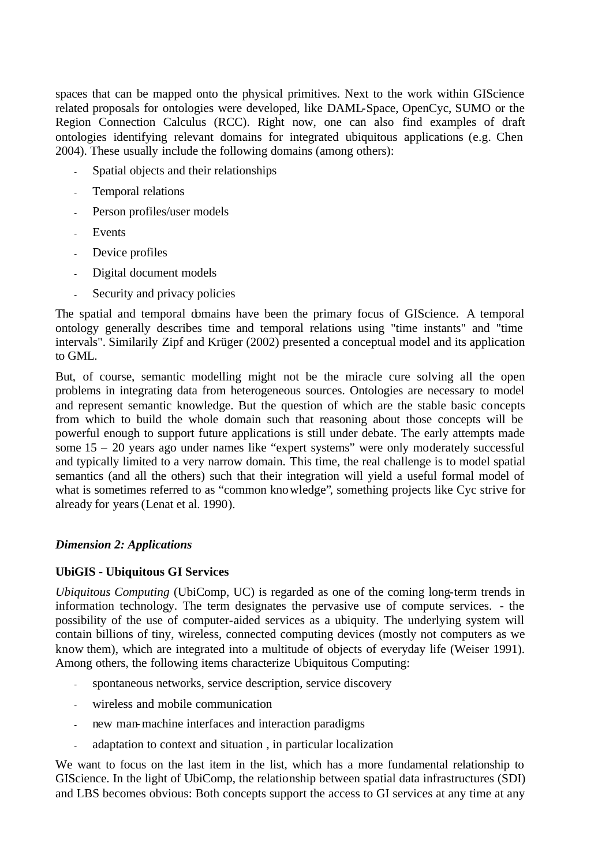spaces that can be mapped onto the physical primitives. Next to the work within GIScience related proposals for ontologies were developed, like DAML-Space, OpenCyc, SUMO or the Region Connection Calculus (RCC). Right now, one can also find examples of draft ontologies identifying relevant domains for integrated ubiquitous applications (e.g. Chen 2004). These usually include the following domains (among others):

- Spatial objects and their relationships
- Temporal relations
- Person profiles/user models
- **Events**
- Device profiles
- Digital document models
- Security and privacy policies

The spatial and temporal domains have been the primary focus of GIScience. A temporal ontology generally describes time and temporal relations using "time instants" and "time intervals". Similarily Zipf and Krüger (2002) presented a conceptual model and its application to GML.

But, of course, semantic modelling might not be the miracle cure solving all the open problems in integrating data from heterogeneous sources. Ontologies are necessary to model and represent semantic knowledge. But the question of which are the stable basic concepts from which to build the whole domain such that reasoning about those concepts will be powerful enough to support future applications is still under debate. The early attempts made some 15 – 20 years ago under names like "expert systems" were only moderately successful and typically limited to a very narrow domain. This time, the real challenge is to model spatial semantics (and all the others) such that their integration will yield a useful formal model of what is sometimes referred to as "common knowledge", something projects like Cyc strive for already for years (Lenat et al. 1990).

## *Dimension 2: Applications*

## **UbiGIS - Ubiquitous GI Services**

*Ubiquitous Computing* (UbiComp, UC) is regarded as one of the coming long-term trends in information technology. The term designates the pervasive use of compute services. - the possibility of the use of computer-aided services as a ubiquity. The underlying system will contain billions of tiny, wireless, connected computing devices (mostly not computers as we know them), which are integrated into a multitude of objects of everyday life (Weiser 1991). Among others, the following items characterize Ubiquitous Computing:

- spontaneous networks, service description, service discovery
- wireless and mobile communication
- new man-machine interfaces and interaction paradigms
- adaptation to context and situation , in particular localization

We want to focus on the last item in the list, which has a more fundamental relationship to GIScience. In the light of UbiComp, the relationship between spatial data infrastructures (SDI) and LBS becomes obvious: Both concepts support the access to GI services at any time at any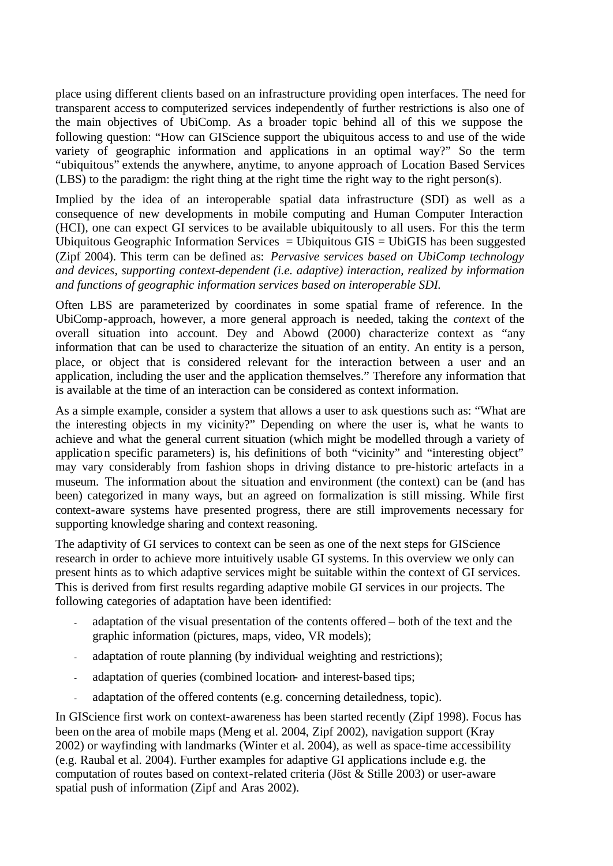place using different clients based on an infrastructure providing open interfaces. The need for transparent access to computerized services independently of further restrictions is also one of the main objectives of UbiComp. As a broader topic behind all of this we suppose the following question: "How can GIScience support the ubiquitous access to and use of the wide variety of geographic information and applications in an optimal way?" So the term "ubiquitous" extends the anywhere, anytime, to anyone approach of Location Based Services (LBS) to the paradigm: the right thing at the right time the right way to the right person(s).

Implied by the idea of an interoperable spatial data infrastructure (SDI) as well as a consequence of new developments in mobile computing and Human Computer Interaction (HCI), one can expect GI services to be available ubiquitously to all users. For this the term Ubiquitous Geographic Information Services  $=$  Ubiquitous GIS  $=$  UbiGIS has been suggested (Zipf 2004). This term can be defined as: *Pervasive services based on UbiComp technology and devices, supporting context-dependent (i.e. adaptive) interaction, realized by information and functions of geographic information services based on interoperable SDI.* 

Often LBS are parameterized by coordinates in some spatial frame of reference. In the UbiComp-approach, however, a more general approach is needed, taking the *contex*t of the overall situation into account. Dey and Abowd (2000) characterize context as "any information that can be used to characterize the situation of an entity. An entity is a person, place, or object that is considered relevant for the interaction between a user and an application, including the user and the application themselves." Therefore any information that is available at the time of an interaction can be considered as context information.

As a simple example, consider a system that allows a user to ask questions such as: "What are the interesting objects in my vicinity?" Depending on where the user is, what he wants to achieve and what the general current situation (which might be modelled through a variety of application specific parameters) is, his definitions of both "vicinity" and "interesting object" may vary considerably from fashion shops in driving distance to pre-historic artefacts in a museum. The information about the situation and environment (the context) can be (and has been) categorized in many ways, but an agreed on formalization is still missing. While first context-aware systems have presented progress, there are still improvements necessary for supporting knowledge sharing and context reasoning.

The adaptivity of GI services to context can be seen as one of the next steps for GIScience research in order to achieve more intuitively usable GI systems. In this overview we only can present hints as to which adaptive services might be suitable within the context of GI services. This is derived from first results regarding adaptive mobile GI services in our projects. The following categories of adaptation have been identified:

- adaptation of the visual presentation of the contents offered both of the text and the graphic information (pictures, maps, video, VR models);
- adaptation of route planning (by individual weighting and restrictions);
- adaptation of queries (combined location- and interest-based tips;
- adaptation of the offered contents (e.g. concerning detailedness, topic).

In GIScience first work on context-awareness has been started recently (Zipf 1998). Focus has been on the area of mobile maps (Meng et al. 2004, Zipf 2002), navigation support (Kray 2002) or wayfinding with landmarks (Winter et al. 2004), as well as space-time accessibility (e.g. Raubal et al. 2004). Further examples for adaptive GI applications include e.g. the computation of routes based on context-related criteria (Jöst & Stille 2003) or user-aware spatial push of information (Zipf and Aras 2002).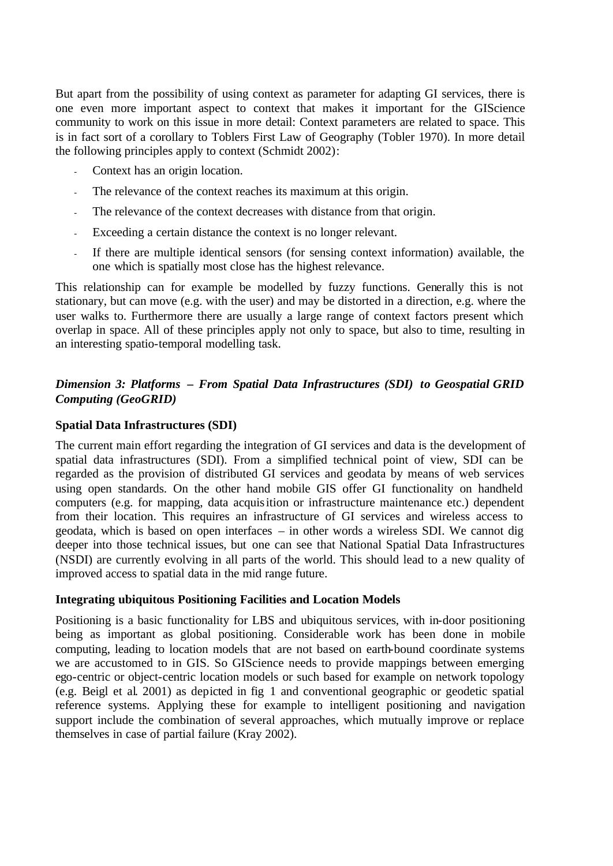But apart from the possibility of using context as parameter for adapting GI services, there is one even more important aspect to context that makes it important for the GIScience community to work on this issue in more detail: Context parameters are related to space. This is in fact sort of a corollary to Toblers First Law of Geography (Tobler 1970). In more detail the following principles apply to context (Schmidt 2002):

- Context has an origin location.
- The relevance of the context reaches its maximum at this origin.
- The relevance of the context decreases with distance from that origin.
- Exceeding a certain distance the context is no longer relevant.
- If there are multiple identical sensors (for sensing context information) available, the one which is spatially most close has the highest relevance.

This relationship can for example be modelled by fuzzy functions. Generally this is not stationary, but can move (e.g. with the user) and may be distorted in a direction, e.g. where the user walks to. Furthermore there are usually a large range of context factors present which overlap in space. All of these principles apply not only to space, but also to time, resulting in an interesting spatio-temporal modelling task.

# *Dimension 3: Platforms – From Spatial Data Infrastructures (SDI) to Geospatial GRID Computing (GeoGRID)*

## **Spatial Data Infrastructures (SDI)**

The current main effort regarding the integration of GI services and data is the development of spatial data infrastructures (SDI). From a simplified technical point of view, SDI can be regarded as the provision of distributed GI services and geodata by means of web services using open standards. On the other hand mobile GIS offer GI functionality on handheld computers (e.g. for mapping, data acquisition or infrastructure maintenance etc.) dependent from their location. This requires an infrastructure of GI services and wireless access to geodata, which is based on open interfaces – in other words a wireless SDI. We cannot dig deeper into those technical issues, but one can see that National Spatial Data Infrastructures (NSDI) are currently evolving in all parts of the world. This should lead to a new quality of improved access to spatial data in the mid range future.

### **Integrating ubiquitous Positioning Facilities and Location Models**

Positioning is a basic functionality for LBS and ubiquitous services, with in-door positioning being as important as global positioning. Considerable work has been done in mobile computing, leading to location models that are not based on earth-bound coordinate systems we are accustomed to in GIS. So GIScience needs to provide mappings between emerging ego-centric or object-centric location models or such based for example on network topology (e.g. Beigl et al. 2001) as depicted in fig 1 and conventional geographic or geodetic spatial reference systems. Applying these for example to intelligent positioning and navigation support include the combination of several approaches, which mutually improve or replace themselves in case of partial failure (Kray 2002).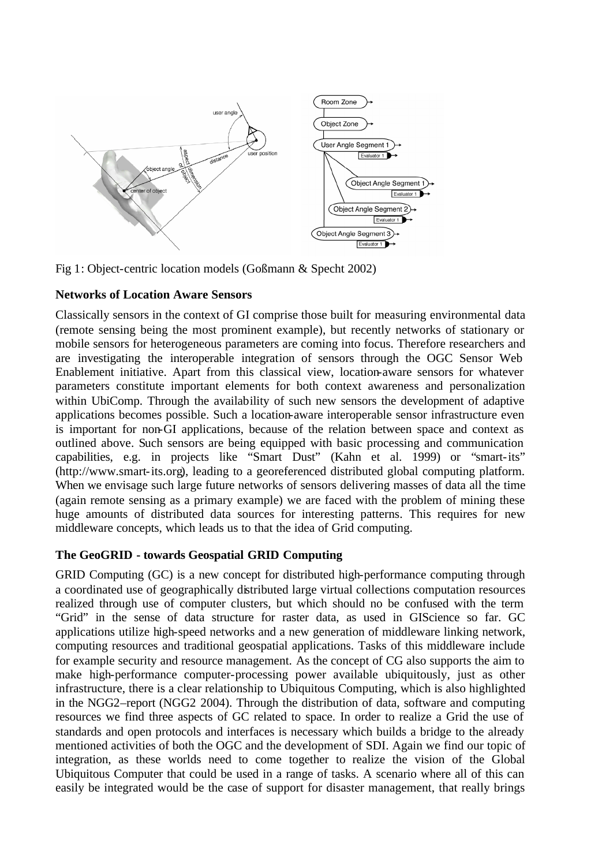

Fig 1: Object-centric location models (Goßmann & Specht 2002)

### **Networks of Location Aware Sensors**

Classically sensors in the context of GI comprise those built for measuring environmental data (remote sensing being the most prominent example), but recently networks of stationary or mobile sensors for heterogeneous parameters are coming into focus. Therefore researchers and are investigating the interoperable integration of sensors through the OGC Sensor Web Enablement initiative. Apart from this classical view, location-aware sensors for whatever parameters constitute important elements for both context awareness and personalization within UbiComp. Through the availability of such new sensors the development of adaptive applications becomes possible. Such a location-aware interoperable sensor infrastructure even is important for non-GI applications, because of the relation between space and context as outlined above. Such sensors are being equipped with basic processing and communication capabilities, e.g. in projects like "Smart Dust" (Kahn et al. 1999) or "smart-its" (http://www.smart-its.org), leading to a georeferenced distributed global computing platform. When we envisage such large future networks of sensors delivering masses of data all the time (again remote sensing as a primary example) we are faced with the problem of mining these huge amounts of distributed data sources for interesting patterns. This requires for new middleware concepts, which leads us to that the idea of Grid computing.

## **The GeoGRID - towards Geospatial GRID Computing**

GRID Computing (GC) is a new concept for distributed high-performance computing through a coordinated use of geographically distributed large virtual collections computation resources realized through use of computer clusters, but which should no be confused with the term "Grid" in the sense of data structure for raster data, as used in GIScience so far. GC applications utilize high-speed networks and a new generation of middleware linking network, computing resources and traditional geospatial applications. Tasks of this middleware include for example security and resource management. As the concept of CG also supports the aim to make high-performance computer-processing power available ubiquitously, just as other infrastructure, there is a clear relationship to Ubiquitous Computing, which is also highlighted in the NGG2–report (NGG2 2004). Through the distribution of data, software and computing resources we find three aspects of GC related to space. In order to realize a Grid the use of standards and open protocols and interfaces is necessary which builds a bridge to the already mentioned activities of both the OGC and the development of SDI. Again we find our topic of integration, as these worlds need to come together to realize the vision of the Global Ubiquitous Computer that could be used in a range of tasks. A scenario where all of this can easily be integrated would be the case of support for disaster management, that really brings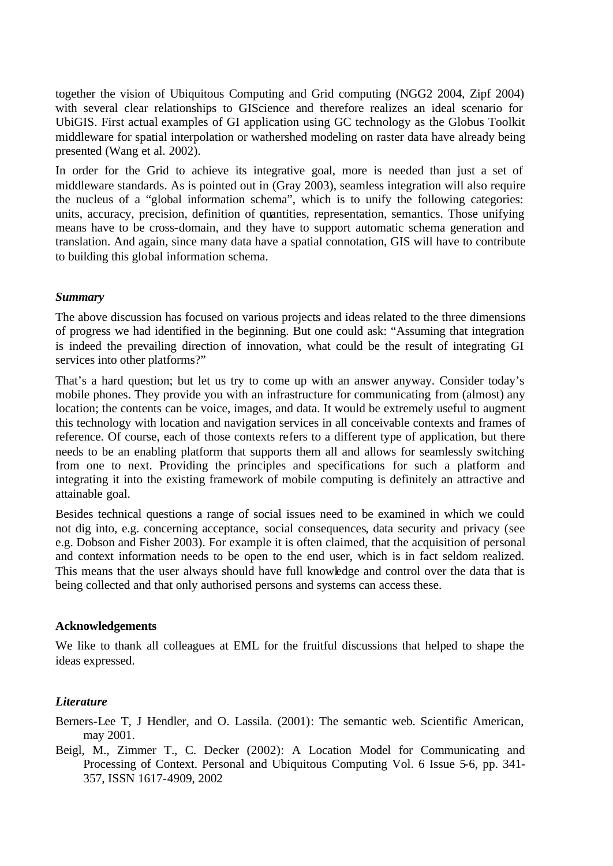together the vision of Ubiquitous Computing and Grid computing (NGG2 2004, Zipf 2004) with several clear relationships to GIScience and therefore realizes an ideal scenario for UbiGIS. First actual examples of GI application using GC technology as the Globus Toolkit middleware for spatial interpolation or wathershed modeling on raster data have already being presented (Wang et al. 2002).

In order for the Grid to achieve its integrative goal, more is needed than just a set of middleware standards. As is pointed out in (Gray 2003), seamless integration will also require the nucleus of a "global information schema", which is to unify the following categories: units, accuracy, precision, definition of quantities, representation, semantics. Those unifying means have to be cross-domain, and they have to support automatic schema generation and translation. And again, since many data have a spatial connotation, GIS will have to contribute to building this global information schema.

### *Summary*

The above discussion has focused on various projects and ideas related to the three dimensions of progress we had identified in the beginning. But one could ask: "Assuming that integration is indeed the prevailing direction of innovation, what could be the result of integrating GI services into other platforms?"

That's a hard question; but let us try to come up with an answer anyway. Consider today's mobile phones. They provide you with an infrastructure for communicating from (almost) any location; the contents can be voice, images, and data. It would be extremely useful to augment this technology with location and navigation services in all conceivable contexts and frames of reference. Of course, each of those contexts refers to a different type of application, but there needs to be an enabling platform that supports them all and allows for seamlessly switching from one to next. Providing the principles and specifications for such a platform and integrating it into the existing framework of mobile computing is definitely an attractive and attainable goal.

Besides technical questions a range of social issues need to be examined in which we could not dig into, e.g. concerning acceptance, social consequences, data security and privacy (see e.g. Dobson and Fisher 2003). For example it is often claimed, that the acquisition of personal and context information needs to be open to the end user, which is in fact seldom realized. This means that the user always should have full knowledge and control over the data that is being collected and that only authorised persons and systems can access these.

### **Acknowledgements**

We like to thank all colleagues at EML for the fruitful discussions that helped to shape the ideas expressed.

### *Literature*

- Berners-Lee T, J Hendler, and O. Lassila. (2001): The semantic web. Scientific American, may 2001.
- Beigl, M., Zimmer T., C. Decker (2002): A Location Model for Communicating and Processing of Context. Personal and Ubiquitous Computing Vol. 6 Issue 5-6, pp. 341- 357, ISSN 1617-4909, 2002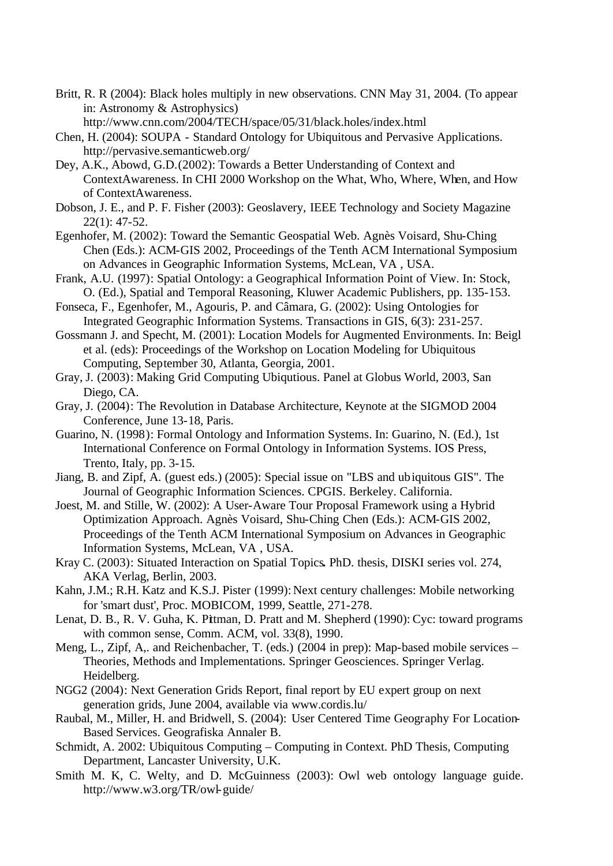Britt, R. R (2004): Black holes multiply in new observations. CNN May 31, 2004. (To appear in: Astronomy & Astrophysics)

http://www.cnn.com/2004/TECH/space/05/31/black.holes/index.html

- Chen, H. (2004): SOUPA Standard Ontology for Ubiquitous and Pervasive Applications. http://pervasive.semanticweb.org/
- Dey, A.K., Abowd, G.D.(2002): Towards a Better Understanding of Context and ContextAwareness. In CHI 2000 Workshop on the What, Who, Where, When, and How of ContextAwareness.
- Dobson, J. E., and P. F. Fisher (2003): Geoslavery, IEEE Technology and Society Magazine 22(1): 47-52.
- Egenhofer, M. (2002): Toward the Semantic Geospatial Web. Agnès Voisard, Shu-Ching Chen (Eds.): ACM-GIS 2002, Proceedings of the Tenth ACM International Symposium on Advances in Geographic Information Systems, McLean, VA , USA.
- Frank, A.U. (1997): Spatial Ontology: a Geographical Information Point of View. In: Stock, O. (Ed.), Spatial and Temporal Reasoning, Kluwer Academic Publishers, pp. 135-153.
- Fonseca, F., Egenhofer, M., Agouris, P. and Câmara, G. (2002): Using Ontologies for Integrated Geographic Information Systems. Transactions in GIS, 6(3): 231-257.
- Gossmann J. and Specht, M. (2001): Location Models for Augmented Environments. In: Beigl et al. (eds): Proceedings of the Workshop on Location Modeling for Ubiquitous Computing, September 30, Atlanta, Georgia, 2001.
- Gray, J. (2003): Making Grid Computing Ubiqutious. Panel at Globus World, 2003, San Diego, CA.
- Gray, J. (2004): The Revolution in Database Architecture, Keynote at the SIGMOD 2004 Conference, June 13-18, Paris.
- Guarino, N. (1998): Formal Ontology and Information Systems. In: Guarino, N. (Ed.), 1st International Conference on Formal Ontology in Information Systems. IOS Press, Trento, Italy, pp. 3-15.
- Jiang, B. and Zipf, A. (guest eds.) (2005): Special issue on "LBS and ubiquitous GIS". The Journal of Geographic Information Sciences. CPGIS. Berkeley. California.
- Joest, M. and Stille, W. (2002): A User-Aware Tour Proposal Framework using a Hybrid Optimization Approach. Agnès Voisard, Shu-Ching Chen (Eds.): ACM-GIS 2002, Proceedings of the Tenth ACM International Symposium on Advances in Geographic Information Systems, McLean, VA , USA.
- Kray C. (2003): Situated Interaction on Spatial Topics*.* PhD. thesis, DISKI series vol. 274, AKA Verlag, Berlin, 2003.
- Kahn, J.M.; R.H. Katz and K.S.J. Pister (1999): Next century challenges: Mobile networking for 'smart dust', Proc. MOBICOM, 1999, Seattle, 271-278.
- Lenat, D. B., R. V. Guha, K. Pittman, D. Pratt and M. Shepherd (1990): Cyc: toward programs with common sense, Comm. ACM, vol. 33(8), 1990.
- Meng, L., Zipf, A., and Reichenbacher, T. (eds.) (2004 in prep): Map-based mobile services Theories, Methods and Implementations. Springer Geosciences. Springer Verlag. Heidelberg.
- NGG2 (2004): Next Generation Grids Report, final report by EU expert group on next generation grids, June 2004, available via www.cordis.lu/
- Raubal, M., Miller, H. and Bridwell, S. (2004): User Centered Time Geography For Location-Based Services. Geografiska Annaler B.
- Schmidt, A. 2002: Ubiquitous Computing Computing in Context. PhD Thesis, Computing Department, Lancaster University, U.K.
- Smith M. K, C. Welty, and D. McGuinness (2003): Owl web ontology language guide. http://www.w3.org/TR/owl-guide/